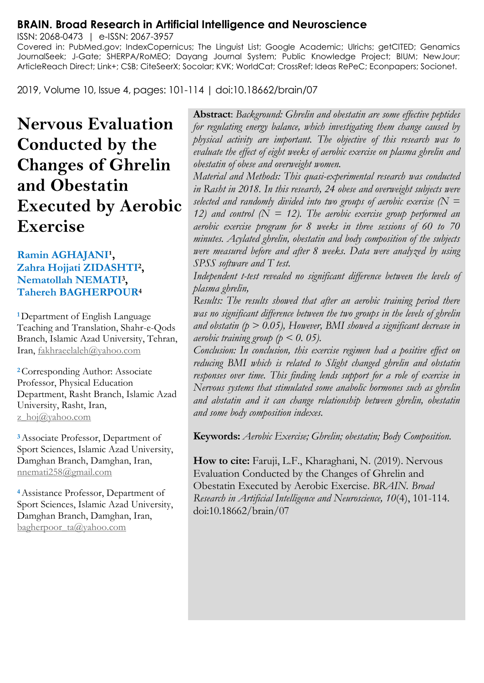## **BRAIN. Broad Research in Artificial Intelligence and Neuroscience**

ISSN: 2068-0473 | e-ISSN: 2067-3957 Covered in: PubMed.gov; IndexCopernicus; The Linguist List; Google Academic; Ulrichs; getCITED; Genamics JournalSeek; J-Gate; SHERPA/RoMEO; Dayang Journal System; Public Knowledge Project; BIUM; NewJour; ArticleReach Direct; Link+; CSB; CiteSeerX; Socolar; KVK; WorldCat; CrossRef; Ideas RePeC; Econpapers; Socionet.

2019, Volume 10, Issue 4, pages: 101-114 | doi:10.18662/brain/07

# **Nervous Evaluation Conducted by the Changes of Ghrelin and Obestatin Executed by Aerobic Exercise**

#### **Ramin AGHAJANI<sup>1</sup>, Zahra Hojjati ZIDASHTI<sup>2</sup> , Nematollah NEMATI<sup>3</sup> , Tahereh BAGHERPOUR<sup>4</sup>**

**<sup>1</sup>**Department of English Language Teaching and Translation, Shahr-e-Qods Branch, Islamic Azad University, Tehran, Iran[, fakhraeelaleh@yahoo.com](mailto:fakhraeelaleh@yahoo.com)

**<sup>2</sup>**Corresponding Author: Associate Professor, Physical Education Department, Rasht Branch, Islamic Azad University, Rasht, Iran, z\_hoj $@$ yahoo.com

**<sup>3</sup>**Associate Professor, Department of Sport Sciences, Islamic Azad University, Damghan Branch, Damghan, Iran, [nnemati258@gmail.com](mailto:nnemati258@gmail.com)

**<sup>4</sup>**Assistance Professor, Department of Sport Sciences, Islamic Azad University, Damghan Branch, Damghan, Iran, [bagherpoor\\_ta@yahoo.com](mailto:bagherpoor_ta@yahoo.com)

**Abstract**: *Background: Ghrelin and obestatin are some effective peptides for regulating energy balance, which investigating them change caused by physical activity are important. The objective of this research was to evaluate the effect of eight weeks of aerobic exercise on plasma ghrelin and obestatin of obese and overweight women.* 

*Material and Methods: This quasi-experimental research was conducted in Rasht in 2018. In this research, 24 obese and overweight subjects were selected and randomly divided into two groups of aerobic exercise (N = 12) and control*  $(N = 12)$ . The aerobic exercise group performed an *aerobic exercise program for 8 weeks in three sessions of 60 to 70 minutes. Acylated ghrelin, obestatin and body composition of the subjects were measured before and after 8 weeks. Data were analyzed by using SPSS software and T test.* 

*Independent t-test revealed no significant difference between the levels of plasma ghrelin,* 

*Results: The results showed that after an aerobic training period there was no significant difference between the two groups in the levels of ghrelin and obstatin (p > 0.05), However, BMI showed a significant decrease in aerobic training group (p < 0. 05).* 

*Conclusion: In conclusion, this exercise regimen had a positive effect on reducing BMI which is related to Slight changed ghrelin and obstatin responses over time. This finding lends support for a role of exercise in Nervous systems that stimulated some anabolic hormones such as ghrelin and abstatin and it can change relationship between ghrelin, obestatin and some body composition indexes.*

**Keywords:** *Aerobic Exercise; Ghrelin; obestatin; Body Composition.*

**How to cite:** Faruji, L.F., Kharaghani, N. (2019). Nervous Evaluation Conducted by the Changes of Ghrelin and Obestatin Executed by Aerobic Exercise. *BRAIN. Broad Research in Artificial Intelligence and Neuroscience, 10*(4), 101-114. doi:10.18662/brain/07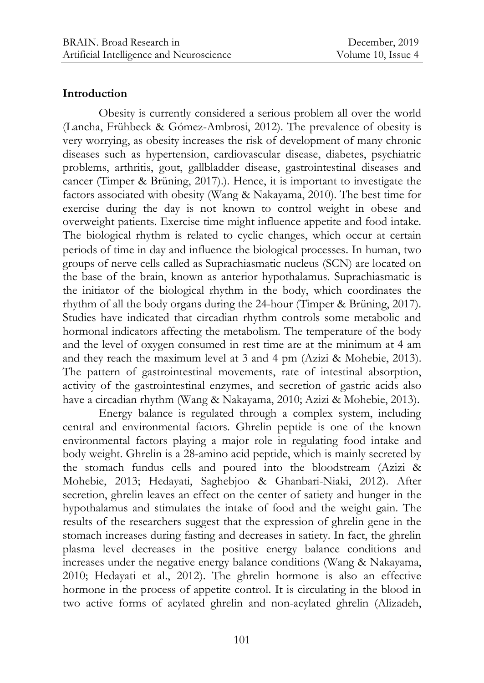## **Introduction**

Obesity is currently considered a serious problem all over the world [\(Lancha,](https://www.ncbi.nlm.nih.gov/pubmed/?term=Lancha%20A%5BAuthor%5D&cauthor=true&cauthor_uid=23174510) [Frühbeck](https://www.ncbi.nlm.nih.gov/pubmed/?term=Lancha%20A%5BAuthor%5D&cauthor=true&cauthor_uid=23174510) & Gómez[-Ambrosi, 2](https://www.ncbi.nlm.nih.gov/pubmed/?term=G%C3%B3mez-Ambrosi%20J%5BAuthor%5D&cauthor=true&cauthor_uid=23174510)012). The prevalence of obesity is very worrying, as obesity increases the risk of development of many chronic diseases such as hypertension, cardiovascular disease, diabetes, psychiatric problems, arthritis, gout, gallbladder disease, gastrointestinal diseases and cancer [\(Timper &](https://www.ncbi.nlm.nih.gov/pubmed/?term=Timper%20K%5BAuthor%5D&cauthor=true&cauthor_uid=28592656) [Brüning,](https://www.ncbi.nlm.nih.gov/pubmed/?term=Br%C3%BCning%20JC%5BAuthor%5D&cauthor=true&cauthor_uid=28592656) 2017).). Hence, it is important to investigate the factors associated with obesity [\(Wang](https://www.ncbi.nlm.nih.gov/pubmed/?term=Wang%20Z%5BAuthor%5D&cauthor=true&cauthor_uid=20847813) & [Nakayama,](https://www.ncbi.nlm.nih.gov/pubmed/?term=Nakayama%20T%5BAuthor%5D&cauthor=true&cauthor_uid=20847813) 2010). The best time for exercise during the day is not known to control weight in obese and overweight patients. Exercise time might influence appetite and food intake. The biological rhythm is related to cyclic changes, which occur at certain periods of time in day and influence the biological processes. In human, two groups of nerve cells called as Suprachiasmatic nucleus (SCN) are located on the base of the brain, known as anterior hypothalamus. Suprachiasmatic is the initiator of the biological rhythm in the body, which coordinates the rhythm of all the body organs during the 24-hour [\(Timper &](https://www.ncbi.nlm.nih.gov/pubmed/?term=Timper%20K%5BAuthor%5D&cauthor=true&cauthor_uid=28592656) [Brüning,](https://www.ncbi.nlm.nih.gov/pubmed/?term=Br%C3%BCning%20JC%5BAuthor%5D&cauthor=true&cauthor_uid=28592656) 2017). Studies have indicated that circadian rhythm controls some metabolic and hormonal indicators affecting the metabolism. The temperature of the body and the level of oxygen consumed in rest time are at the minimum at 4 am and they reach the maximum level at 3 and 4 pm (Azizi & Mohebie, 2013). The pattern of gastrointestinal movements, rate of intestinal absorption, activity of the gastrointestinal enzymes, and secretion of gastric acids also have a circadian rhythm [\(Wang](https://www.ncbi.nlm.nih.gov/pubmed/?term=Wang%20Z%5BAuthor%5D&cauthor=true&cauthor_uid=20847813) & [Nakayama,](https://www.ncbi.nlm.nih.gov/pubmed/?term=Nakayama%20T%5BAuthor%5D&cauthor=true&cauthor_uid=20847813) 2010; Azizi & Mohebie, 2013).

Energy balance is regulated through a complex system, including central and environmental factors. Ghrelin peptide is one of the known environmental factors playing a major role in regulating food intake and body weight. Ghrelin is a 28-amino acid peptide, which is mainly secreted by the stomach fundus cells and poured into the bloodstream (Azizi & Mohebie, 2013; Hedayati, Saghebjoo & Ghanbari-Niaki, 2012). After secretion, ghrelin leaves an effect on the center of satiety and hunger in the hypothalamus and stimulates the intake of food and the weight gain. The results of the researchers suggest that the expression of ghrelin gene in the stomach increases during fasting and decreases in satiety. In fact, the ghrelin plasma level decreases in the positive energy balance conditions and increases under the negative energy balance conditions [\(Wang](https://www.ncbi.nlm.nih.gov/pubmed/?term=Wang%20Z%5BAuthor%5D&cauthor=true&cauthor_uid=20847813) & [Nakayama,](https://www.ncbi.nlm.nih.gov/pubmed/?term=Nakayama%20T%5BAuthor%5D&cauthor=true&cauthor_uid=20847813) 2010; Hedayati et al., 2012). The ghrelin hormone is also an effective hormone in the process of appetite control. It is circulating in the blood in two active forms of acylated ghrelin and non-acylated ghrelin (Alizadeh,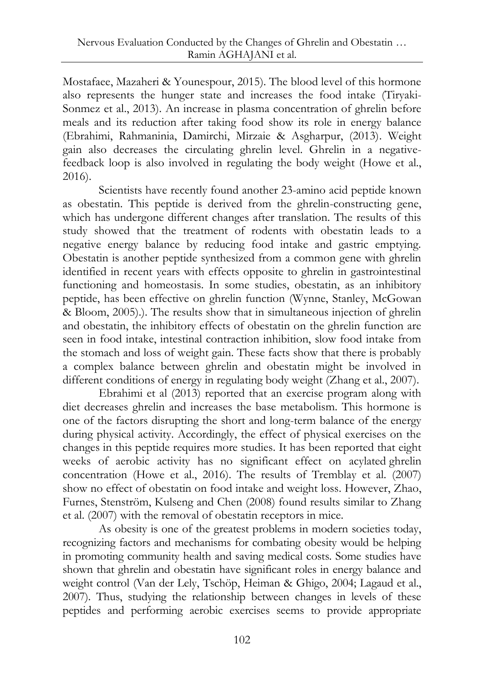Mostafaee, Mazaheri & Younespour, 2015). The blood level of this hormone also represents the hunger state and increases the food intake (Tiryaki-Sonmez et al., 2013). An increase in plasma concentration of ghrelin before meals and its reduction after taking food show its role in energy balance (Ebrahimi, Rahmaninia, Damirchi, Mirzaie & Asgharpur, (2013). Weight gain also decreases the circulating ghrelin level. Ghrelin in a negativefeedback loop is also involved in regulating the body weight [\(Howe](https://www.ncbi.nlm.nih.gov/pubmed/?term=Howe%20SM%5BAuthor%5D&cauthor=true&cauthor_uid=27096869) et al., 2016).

Scientists have recently found another 23-amino acid peptide known as obestatin. This peptide is derived from the ghrelin-constructing gene, which has undergone different changes after translation. The results of this study showed that the treatment of rodents with obestatin leads to a negative energy balance by reducing food intake and gastric emptying. Obestatin is another peptide synthesized from a common gene with ghrelin identified in recent years with effects opposite to ghrelin in gastrointestinal functioning and homeostasis. In some studies, obestatin, as an inhibitory peptide, has been effective on ghrelin function [\(Wynne, Stanley,](https://www.ncbi.nlm.nih.gov/pubmed/?term=Wynne%20K%5BAuthor%5D&cauthor=true&cauthor_uid=15684339) [McGowan](https://www.ncbi.nlm.nih.gov/pubmed/?term=McGowan%20B%5BAuthor%5D&cauthor=true&cauthor_uid=15684339) & [Bloom, 2](https://www.ncbi.nlm.nih.gov/pubmed/?term=Bloom%20S%5BAuthor%5D&cauthor=true&cauthor_uid=15684339)005).). The results show that in simultaneous injection of ghrelin and obestatin, the inhibitory effects of obestatin on the ghrelin function are seen in food intake, intestinal contraction inhibition, slow food intake from the stomach and loss of weight gain. These facts show that there is probably a complex balance between ghrelin and obestatin might be involved in different conditions of energy in regulating body weight (Zhang et al., 2007).

Ebrahimi et al (2013) reported that an exercise program along with diet decreases ghrelin and increases the base metabolism. This hormone is one of the factors disrupting the short and long-term balance of the energy during physical activity. Accordingly, the effect of physical exercises on the changes in this peptide requires more studies. It has been reported that eight weeks of aerobic activity has no significant effect on acylated ghrelin concentration [\(Howe](https://www.ncbi.nlm.nih.gov/pubmed/?term=Howe%20SM%5BAuthor%5D&cauthor=true&cauthor_uid=27096869) et al., 2016). The results of Tremblay et al. (2007) show no effect of obestatin on food intake and weight loss. However, Zhao, [Furnes,](https://www.ncbi.nlm.nih.gov/pubmed/?term=Furnes%20MW%5BAuthor%5D&cauthor=true&cauthor_uid=18071756) [Stenström,](https://www.ncbi.nlm.nih.gov/pubmed/?term=Furnes%20MW%5BAuthor%5D&cauthor=true&cauthor_uid=18071756) [Kulseng](https://www.ncbi.nlm.nih.gov/pubmed/?term=Kulseng%20B%5BAuthor%5D&cauthor=true&cauthor_uid=18071756) and [Chen](https://www.ncbi.nlm.nih.gov/pubmed/?term=Chen%20D%5BAuthor%5D&cauthor=true&cauthor_uid=18071756) (2008) found results similar to Zhang et al. (2007) with the removal of obestatin receptors in mice.

As obesity is one of the greatest problems in modern societies today, recognizing factors and mechanisms for combating obesity would be helping in promoting community health and saving medical costs. Some studies have shown that ghrelin and obestatin have significant roles in energy balance and weight control [\(Van der Lely,](https://www.ncbi.nlm.nih.gov/pubmed/?term=van%20der%20Lely%20AJ%5BAuthor%5D&cauthor=true&cauthor_uid=15180951) [Tschöp,](https://www.ncbi.nlm.nih.gov/pubmed/?term=van%20der%20Lely%20AJ%5BAuthor%5D&cauthor=true&cauthor_uid=15180951) [Heiman](https://www.ncbi.nlm.nih.gov/pubmed/?term=Heiman%20ML%5BAuthor%5D&cauthor=true&cauthor_uid=15180951) & [Ghigo,](https://www.ncbi.nlm.nih.gov/pubmed/?term=Ghigo%20E%5BAuthor%5D&cauthor=true&cauthor_uid=15180951) 2004; Lagaud et al., 2007). Thus, studying the relationship between changes in levels of these peptides and performing aerobic exercises seems to provide appropriate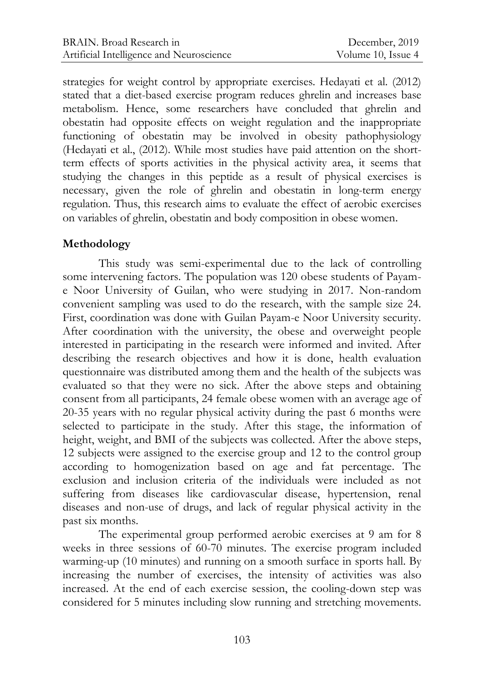strategies for weight control by appropriate exercises. Hedayati et al. (2012) stated that a diet-based exercise program reduces ghrelin and increases base metabolism. Hence, some researchers have concluded that ghrelin and obestatin had opposite effects on weight regulation and the inappropriate functioning of obestatin may be involved in obesity pathophysiology (Hedayati et al., (2012). While most studies have paid attention on the shortterm effects of sports activities in the physical activity area, it seems that studying the changes in this peptide as a result of physical exercises is necessary, given the role of ghrelin and obestatin in long-term energy regulation. Thus, this research aims to evaluate the effect of aerobic exercises on variables of ghrelin, obestatin and body composition in obese women.

## **Methodology**

This study was semi-experimental due to the lack of controlling some intervening factors. The population was 120 obese students of Payame Noor University of Guilan, who were studying in 2017. Non-random convenient sampling was used to do the research, with the sample size 24. First, coordination was done with Guilan Payam-e Noor University security. After coordination with the university, the obese and overweight people interested in participating in the research were informed and invited. After describing the research objectives and how it is done, health evaluation questionnaire was distributed among them and the health of the subjects was evaluated so that they were no sick. After the above steps and obtaining consent from all participants, 24 female obese women with an average age of 20-35 years with no regular physical activity during the past 6 months were selected to participate in the study. After this stage, the information of height, weight, and BMI of the subjects was collected. After the above steps, 12 subjects were assigned to the exercise group and 12 to the control group according to homogenization based on age and fat percentage. The exclusion and inclusion criteria of the individuals were included as not suffering from diseases like cardiovascular disease, hypertension, renal diseases and non-use of drugs, and lack of regular physical activity in the past six months.

The experimental group performed aerobic exercises at 9 am for 8 weeks in three sessions of 60-70 minutes. The exercise program included warming-up (10 minutes) and running on a smooth surface in sports hall. By increasing the number of exercises, the intensity of activities was also increased. At the end of each exercise session, the cooling-down step was considered for 5 minutes including slow running and stretching movements.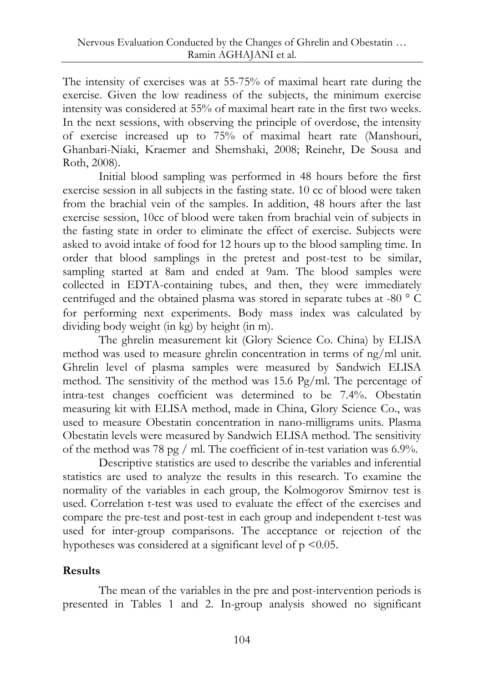The intensity of exercises was at 55-75% of maximal heart rate during the exercise. Given the low readiness of the subjects, the minimum exercise intensity was considered at 55% of maximal heart rate in the first two weeks. In the next sessions, with observing the principle of overdose, the intensity of exercise increased up to 75% of maximal heart rate [\(Manshouri,](https://www.ncbi.nlm.nih.gov/pubmed/?term=Manshouri%20M%5BAuthor%5D&cauthor=true&cauthor_uid=19088784) [Ghanbari-Niaki,](https://www.ncbi.nlm.nih.gov/pubmed/?term=Ghanbari-Niaki%20A%5BAuthor%5D&cauthor=true&cauthor_uid=19088784) [Kraemer](https://www.ncbi.nlm.nih.gov/pubmed/?term=Kraemer%20RR%5BAuthor%5D&cauthor=true&cauthor_uid=19088784) and [Shemshaki,](https://www.ncbi.nlm.nih.gov/pubmed/?term=Shemshaki%20A%5BAuthor%5D&cauthor=true&cauthor_uid=19088784) 2008; Reinehr, De Sousa and Roth, 2008).

Initial blood sampling was performed in 48 hours before the first exercise session in all subjects in the fasting state. 10 cc of blood were taken from the brachial vein of the samples. In addition, 48 hours after the last exercise session, 10cc of blood were taken from brachial vein of subjects in the fasting state in order to eliminate the effect of exercise. Subjects were asked to avoid intake of food for 12 hours up to the blood sampling time. In order that blood samplings in the pretest and post-test to be similar, sampling started at 8am and ended at 9am. The blood samples were collected in EDTA-containing tubes, and then, they were immediately centrifuged and the obtained plasma was stored in separate tubes at -80 ° C for performing next experiments. Body mass index was calculated by dividing body weight (in kg) by height (in m).

The ghrelin measurement kit (Glory Science Co. China) by ELISA method was used to measure ghrelin concentration in terms of ng/ml unit. Ghrelin level of plasma samples were measured by Sandwich ELISA method. The sensitivity of the method was 15.6 Pg/ml. The percentage of intra-test changes coefficient was determined to be 7.4%. Obestatin measuring kit with ELISA method, made in China, Glory Science Co., was used to measure Obestatin concentration in nano-milligrams units. Plasma Obestatin levels were measured by Sandwich ELISA method. The sensitivity of the method was 78 pg / ml. The coefficient of in-test variation was 6.9%.

Descriptive statistics are used to describe the variables and inferential statistics are used to analyze the results in this research. To examine the normality of the variables in each group, the Kolmogorov Smirnov test is used. Correlation t-test was used to evaluate the effect of the exercises and compare the pre-test and post-test in each group and independent t-test was used for inter-group comparisons. The acceptance or rejection of the hypotheses was considered at a significant level of  $p \le 0.05$ .

## **Results**

The mean of the variables in the pre and post-intervention periods is presented in Tables 1 and 2. In-group analysis showed no significant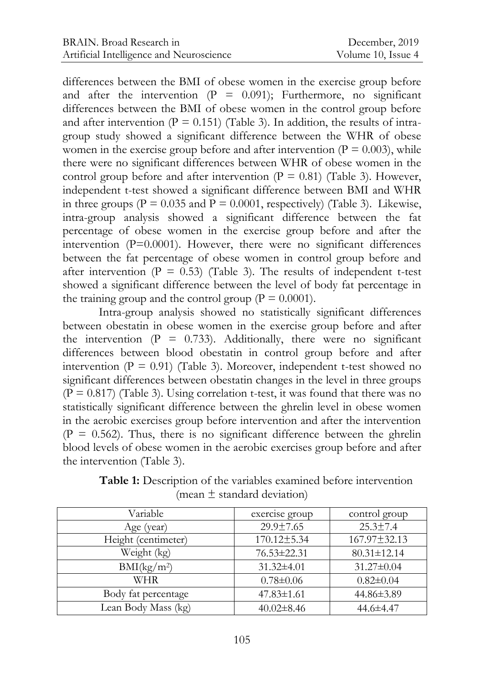differences between the BMI of obese women in the exercise group before and after the intervention  $(P = 0.091)$ ; Furthermore, no significant differences between the BMI of obese women in the control group before and after intervention ( $P = 0.151$ ) (Table 3). In addition, the results of intragroup study showed a significant difference between the WHR of obese women in the exercise group before and after intervention ( $P = 0.003$ ), while there were no significant differences between WHR of obese women in the control group before and after intervention ( $P = 0.81$ ) (Table 3). However, independent t-test showed a significant difference between BMI and WHR in three groups ( $P = 0.035$  and  $\overline{P} = 0.0001$ , respectively) (Table 3). Likewise, intra-group analysis showed a significant difference between the fat percentage of obese women in the exercise group before and after the intervention (P=0.0001). However, there were no significant differences between the fat percentage of obese women in control group before and after intervention ( $P = 0.53$ ) (Table 3). The results of independent t-test showed a significant difference between the level of body fat percentage in the training group and the control group ( $P = 0.0001$ ).

Intra-group analysis showed no statistically significant differences between obestatin in obese women in the exercise group before and after the intervention  $(P = 0.733)$ . Additionally, there were no significant differences between blood obestatin in control group before and after intervention ( $P = 0.91$ ) (Table 3). Moreover, independent t-test showed no significant differences between obestatin changes in the level in three groups  $(P = 0.817)$  (Table 3). Using correlation t-test, it was found that there was no statistically significant difference between the ghrelin level in obese women in the aerobic exercises group before intervention and after the intervention  $(P = 0.562)$ . Thus, there is no significant difference between the ghrelin blood levels of obese women in the aerobic exercises group before and after the intervention (Table 3).

| Variable                | exercise group   | control group     |  |
|-------------------------|------------------|-------------------|--|
| Age (year)              | 29.9±7.65        | $25.3 \pm 7.4$    |  |
| Height (centimeter)     | 170.12±5.34      | 167.97±32.13      |  |
| Weight (kg)             | 76.53±22.31      | $80.31 \pm 12.14$ |  |
| BMI(kg/m <sup>2</sup> ) | $31.32 \pm 4.01$ | $31.27 \pm 0.04$  |  |
| WHR                     | $0.78 \pm 0.06$  | $0.82 \pm 0.04$   |  |
| Body fat percentage     | $47.83 \pm 1.61$ | 44.86±3.89        |  |
| Lean Body Mass (kg)     | $40.02 \pm 8.46$ | 44.6±4.47         |  |

**Table 1:** Description of the variables examined before intervention (mean  $\pm$  standard deviation)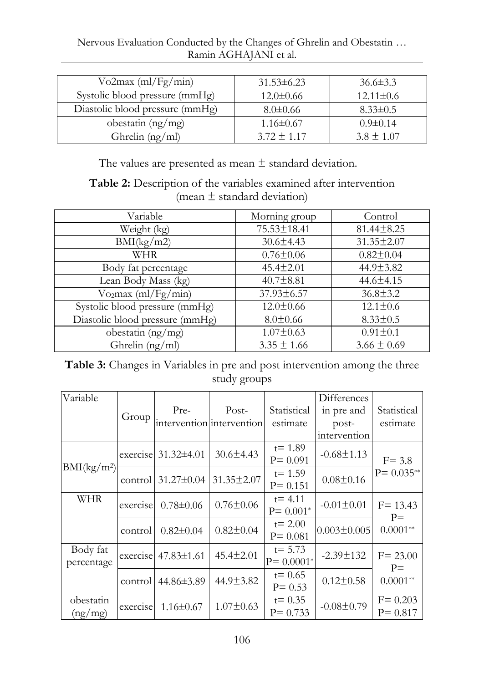Nervous Evaluation Conducted by the Changes of Ghrelin and Obestatin … Ramin AGHAJANI et al.

| $Vo2max$ (ml/Fg/min)            | $31.53\pm 6.23$ | $36.6\pm3.3$    |
|---------------------------------|-----------------|-----------------|
| Systolic blood pressure (mmHg)  | $12.0 \pm 0.66$ | $12.11 \pm 0.6$ |
| Diastolic blood pressure (mmHg) | $8.0 \pm 0.66$  | $8.33 \pm 0.5$  |
| obestatin (ng/mg)               | $1.16 \pm 0.67$ | $0.9 \pm 0.14$  |
| Ghrelin $(ng/ml)$               | $3.72 \pm 1.17$ | $3.8 \pm 1.07$  |

The values are presented as mean  $\pm$  standard deviation.

**Table 2:** Description of the variables examined after intervention (mean  $\pm$  standard deviation)

| Variable                        | Morning group   | Control          |  |
|---------------------------------|-----------------|------------------|--|
| Weight (kg)                     | 75.53±18.41     | $81.44 \pm 8.25$ |  |
| BMI(kg/m2)                      | $30.6 \pm 4.43$ | 31.35±2.07       |  |
| WHR                             | $0.76 \pm 0.06$ | $0.82 \pm 0.04$  |  |
| Body fat percentage             | 45.4±2.01       | 44.9±3.82        |  |
| Lean Body Mass (kg)             | $40.7 \pm 8.81$ | 44.6±4.15        |  |
| Vo <sub>2</sub> max (ml/Fg/min) | 37.93±6.57      | $36.8 \pm 3.2$   |  |
| Systolic blood pressure (mmHg)  | $12.0 \pm 0.66$ | $12.1 \pm 0.6$   |  |
| Diastolic blood pressure (mmHg) | $8.0 \pm 0.66$  | $8.33 \pm 0.5$   |  |
| obestatin $(ng/mg)$             | $1.07 \pm 0.63$ | $0.91 \pm 0.1$   |  |
| Ghrelin (ng/ml)                 | $3.35 \pm 1.66$ | $3.66 \pm 0.69$  |  |

## **Table 3:** Changes in Variables in pre and post intervention among the three study groups

| Variable                |          |                           |                           |               | Differences       |                     |
|-------------------------|----------|---------------------------|---------------------------|---------------|-------------------|---------------------|
|                         | Group    | Pre-                      | Post-                     | Statistical   | in pre and        | Statistical         |
|                         |          |                           | intervention intervention | estimate      | post-             | estimate            |
|                         |          |                           |                           |               | intervention      |                     |
|                         |          | exercise $31.32\pm4.01$   | $30.6 \pm 4.43$           | $t = 1.89$    | $-0.68 \pm 1.13$  |                     |
| BMI(kg/m <sup>2</sup> ) |          |                           |                           | $P = 0.091$   |                   | $F = 3.8$           |
|                         | control  | $31.27 \pm 0.04$          | 31.35±2.07                | $t = 1.59$    | $0.08 \pm 0.16$   | $P = 0.035**$       |
|                         |          |                           |                           | $P = 0.151$   |                   |                     |
| WHR                     | exercise | $0.78 \pm 0.06$           | $0.76 \pm 0.06$           | $t = 4.11$    | $-0.01 \pm 0.01$  | $F = 13.43$         |
|                         |          |                           |                           | $P = 0.001*$  |                   | $P=$                |
|                         |          |                           | $0.82 \pm 0.04$           | $t = 2.00$    | $0.003 \pm 0.005$ | $0.0001**$          |
|                         | control  | $0.82 \pm 0.04$           |                           | $P = 0.081$   |                   |                     |
| Body fat                |          | exercise $47.83 \pm 1.61$ | 45.4±2.01                 | $t = 5.73$    | $-2.39 \pm 132$   |                     |
| percentage              |          |                           |                           | $P = 0.0001*$ |                   | $F = 23.00$<br>$P=$ |
|                         |          |                           | 44.9±3.82                 | $t = 0.65$    | $0.12 \pm 0.58$   |                     |
|                         | control  | 44.86±3.89                |                           | $P = 0.53$    |                   | $0.0001**$          |
| obestatin               |          |                           |                           | $t = 0.35$    |                   | $F = 0.203$         |
| (ng/mg)                 | exercise | $1.16 \pm 0.67$           | $1.07 \pm 0.63$           | $P = 0.733$   | $-0.08 \pm 0.79$  | $P = 0.817$         |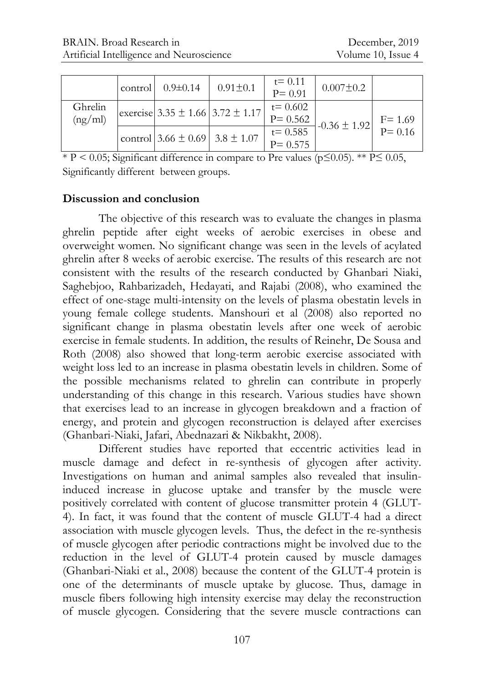|                    | control | $0.9 \pm 0.14$                         | $0.91 \pm 0.1$                           | $t = 0.11$<br>$P = 0.91$   | $0.007 \pm 0.2$  |                       |
|--------------------|---------|----------------------------------------|------------------------------------------|----------------------------|------------------|-----------------------|
| Ghrelin<br>(ng/ml) |         |                                        | exercise 3.35 $\pm$ 1.66 3.72 $\pm$ 1.17 | $t = 0.602$<br>$P = 0.562$ | $-0.36 \pm 1.92$ | $F = 1.69$<br>P= 0.16 |
|                    |         | control $3.66 \pm 0.69$ 3.8 $\pm 1.07$ |                                          | $t = 0.585$<br>$P = 0.575$ |                  |                       |

\* P < 0.05; Significant difference in compare to Pre values ( $p \le 0.05$ ). \*\* P  $\le 0.05$ , Significantly different between groups.

## **Discussion and conclusion**

The objective of this research was to evaluate the changes in plasma ghrelin peptide after eight weeks of aerobic exercises in obese and overweight women. No significant change was seen in the levels of acylated ghrelin after 8 weeks of aerobic exercise. The results of this research are not consistent with the results of the research conducted by Ghanbari Niaki, [Saghebjoo,](https://www.ncbi.nlm.nih.gov/pubmed/?term=Saghebjoo%20M%5BAuthor%5D&cauthor=true&cauthor_uid=18308154) [Rahbarizadeh,](https://www.ncbi.nlm.nih.gov/pubmed/?term=Rahbarizadeh%20F%5BAuthor%5D&cauthor=true&cauthor_uid=18308154) [Hedayati, a](https://www.ncbi.nlm.nih.gov/pubmed/?term=Hedayati%20M%5BAuthor%5D&cauthor=true&cauthor_uid=18308154)nd [Rajabi](https://www.ncbi.nlm.nih.gov/pubmed/?term=Rajabi%20H%5BAuthor%5D&cauthor=true&cauthor_uid=18308154) (2008), who examined the effect of one-stage multi-intensity on the levels of plasma obestatin levels in young female college students. Manshouri et al (2008) also reported no significant change in plasma obestatin levels after one week of aerobic exercise in female students. In addition, the results of Reinehr, De Sousa and Roth (2008) also showed that long-term aerobic exercise associated with weight loss led to an increase in plasma obestatin levels in children. Some of the possible mechanisms related to ghrelin can contribute in properly understanding of this change in this research. Various studies have shown that exercises lead to an increase in glycogen breakdown and a fraction of energy, and protein and glycogen reconstruction is delayed after exercises [\(Ghanbari-Niaki,](https://www.ncbi.nlm.nih.gov/pubmed/?term=Ghanbari-Niaki%20A%5BAuthor%5D&cauthor=true&cauthor_uid=18514059) [Jafari,](https://www.ncbi.nlm.nih.gov/pubmed/?term=Jafari%20A%5BAuthor%5D&cauthor=true&cauthor_uid=18514059) [Abednazari &](https://www.ncbi.nlm.nih.gov/pubmed/?term=Abednazari%20H%5BAuthor%5D&cauthor=true&cauthor_uid=18514059) [Nikbakht,](https://www.ncbi.nlm.nih.gov/pubmed/?term=Nikbakht%20H%5BAuthor%5D&cauthor=true&cauthor_uid=18514059) 2008).

Different studies have reported that eccentric activities lead in muscle damage and defect in re-synthesis of glycogen after activity. Investigations on human and animal samples also revealed that insulininduced increase in glucose uptake and transfer by the muscle were positively correlated with content of glucose transmitter protein 4 (GLUT-4). In fact, it was found that the content of muscle GLUT-4 had a direct association with muscle glycogen levels. Thus, the defect in the re-synthesis of muscle glycogen after periodic contractions might be involved due to the reduction in the level of GLUT-4 protein caused by muscle damages (Ghanbari-Niaki et al., 2008) because the content of the GLUT-4 protein is one of the determinants of muscle uptake by glucose. Thus, damage in muscle fibers following high intensity exercise may delay the reconstruction of muscle glycogen. Considering that the severe muscle contractions can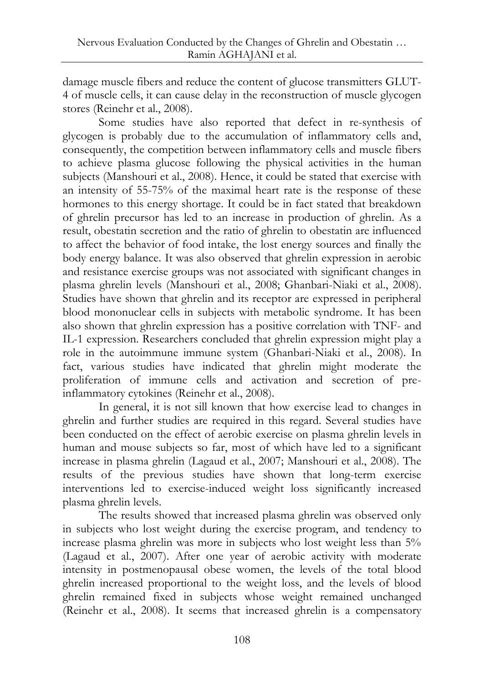damage muscle fibers and reduce the content of glucose transmitters GLUT-4 of muscle cells, it can cause delay in the reconstruction of muscle glycogen stores (Reinehr et al., 2008).

Some studies have also reported that defect in re-synthesis of glycogen is probably due to the accumulation of inflammatory cells and, consequently, the competition between inflammatory cells and muscle fibers to achieve plasma glucose following the physical activities in the human subjects (Manshouri et al., 2008). Hence, it could be stated that exercise with an intensity of 55-75% of the maximal heart rate is the response of these hormones to this energy shortage. It could be in fact stated that breakdown of ghrelin precursor has led to an increase in production of ghrelin. As a result, obestatin secretion and the ratio of ghrelin to obestatin are influenced to affect the behavior of food intake, the lost energy sources and finally the body energy balance. It was also observed that ghrelin expression in aerobic and resistance exercise groups was not associated with significant changes in plasma ghrelin levels (Manshouri et al., 2008; Ghanbari-Niaki et al., 2008). Studies have shown that ghrelin and its receptor are expressed in peripheral blood mononuclear cells in subjects with metabolic syndrome. It has been also shown that ghrelin expression has a positive correlation with TNF- and IL-1 expression. Researchers concluded that ghrelin expression might play a role in the autoimmune immune system (Ghanbari-Niaki et al., 2008). In fact, various studies have indicated that ghrelin might moderate the proliferation of immune cells and activation and secretion of preinflammatory cytokines (Reinehr et al., 2008).

In general, it is not sill known that how exercise lead to changes in ghrelin and further studies are required in this regard. Several studies have been conducted on the effect of aerobic exercise on plasma ghrelin levels in human and mouse subjects so far, most of which have led to a significant increase in plasma ghrelin (Lagaud et al., 2007; Manshouri et al., 2008). The results of the previous studies have shown that long-term exercise interventions led to exercise-induced weight loss significantly increased plasma ghrelin levels.

The results showed that increased plasma ghrelin was observed only in subjects who lost weight during the exercise program, and tendency to increase plasma ghrelin was more in subjects who lost weight less than 5% (Lagaud et al., 2007). After one year of aerobic activity with moderate intensity in postmenopausal obese women, the levels of the total blood ghrelin increased proportional to the weight loss, and the levels of blood ghrelin remained fixed in subjects whose weight remained unchanged (Reinehr et al., 2008). It seems that increased ghrelin is a compensatory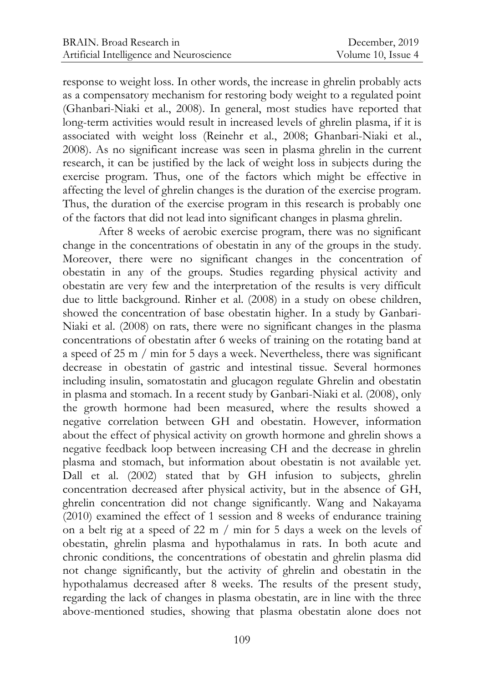response to weight loss. In other words, the increase in ghrelin probably acts as a compensatory mechanism for restoring body weight to a regulated point (Ghanbari-Niaki et al., 2008). In general, most studies have reported that long-term activities would result in increased levels of ghrelin plasma, if it is associated with weight loss (Reinehr et al., 2008; Ghanbari-Niaki et al., 2008). As no significant increase was seen in plasma ghrelin in the current research, it can be justified by the lack of weight loss in subjects during the exercise program. Thus, one of the factors which might be effective in affecting the level of ghrelin changes is the duration of the exercise program. Thus, the duration of the exercise program in this research is probably one of the factors that did not lead into significant changes in plasma ghrelin.

After 8 weeks of aerobic exercise program, there was no significant change in the concentrations of obestatin in any of the groups in the study. Moreover, there were no significant changes in the concentration of obestatin in any of the groups. Studies regarding physical activity and obestatin are very few and the interpretation of the results is very difficult due to little background. Rinher et al. (2008) in a study on obese children, showed the concentration of base obestatin higher. In a study by Ganbari-Niaki et al. (2008) on rats, there were no significant changes in the plasma concentrations of obestatin after 6 weeks of training on the rotating band at a speed of 25 m / min for 5 days a week. Nevertheless, there was significant decrease in obestatin of gastric and intestinal tissue. Several hormones including insulin, somatostatin and glucagon regulate Ghrelin and obestatin in plasma and stomach. In a recent study by Ganbari-Niaki et al. (2008), only the growth hormone had been measured, where the results showed a negative correlation between GH and obestatin. However, information about the effect of physical activity on growth hormone and ghrelin shows a negative feedback loop between increasing CH and the decrease in ghrelin plasma and stomach, but information about obestatin is not available yet. Dall et al. (2002) stated that by GH infusion to subjects, ghrelin concentration decreased after physical activity, but in the absence of GH, ghrelin concentration did not change significantly. Wang and Nakayama (2010) examined the effect of 1 session and 8 weeks of endurance training on a belt rig at a speed of 22 m / min for 5 days a week on the levels of obestatin, ghrelin plasma and hypothalamus in rats. In both acute and chronic conditions, the concentrations of obestatin and ghrelin plasma did not change significantly, but the activity of ghrelin and obestatin in the hypothalamus decreased after 8 weeks. The results of the present study, regarding the lack of changes in plasma obestatin, are in line with the three above-mentioned studies, showing that plasma obestatin alone does not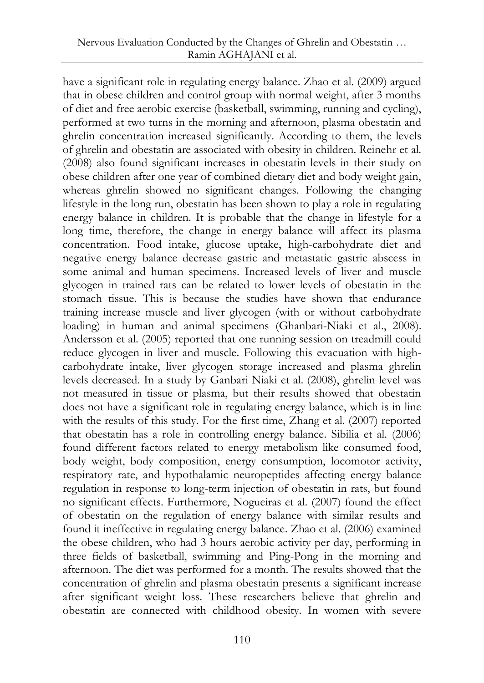have a significant role in regulating energy balance. Zhao et al. (2009) argued that in obese children and control group with normal weight, after 3 months of diet and free aerobic exercise (basketball, swimming, running and cycling), performed at two turns in the morning and afternoon, plasma obestatin and ghrelin concentration increased significantly. According to them, the levels of ghrelin and obestatin are associated with obesity in children. Reinehr et al. (2008) also found significant increases in obestatin levels in their study on obese children after one year of combined dietary diet and body weight gain, whereas ghrelin showed no significant changes. Following the changing lifestyle in the long run, obestatin has been shown to play a role in regulating energy balance in children. It is probable that the change in lifestyle for a long time, therefore, the change in energy balance will affect its plasma concentration. Food intake, glucose uptake, high-carbohydrate diet and negative energy balance decrease gastric and metastatic gastric abscess in some animal and human specimens. Increased levels of liver and muscle glycogen in trained rats can be related to lower levels of obestatin in the stomach tissue. This is because the studies have shown that endurance training increase muscle and liver glycogen (with or without carbohydrate loading) in human and animal specimens (Ghanbari-Niaki et al., 2008). Andersson et al. (2005) reported that one running session on treadmill could reduce glycogen in liver and muscle. Following this evacuation with highcarbohydrate intake, liver glycogen storage increased and plasma ghrelin levels decreased. In a study by Ganbari Niaki et al. (2008), ghrelin level was not measured in tissue or plasma, but their results showed that obestatin does not have a significant role in regulating energy balance, which is in line with the results of this study. For the first time, Zhang et al. (2007) reported that obestatin has a role in controlling energy balance. Sibilia et al. (2006) found different factors related to energy metabolism like consumed food, body weight, body composition, energy consumption, locomotor activity, respiratory rate, and hypothalamic neuropeptides affecting energy balance regulation in response to long-term injection of obestatin in rats, but found no significant effects. Furthermore, Nogueiras et al. (2007) found the effect of obestatin on the regulation of energy balance with similar results and found it ineffective in regulating energy balance. Zhao et al. (2006) examined the obese children, who had 3 hours aerobic activity per day, performing in three fields of basketball, swimming and Ping-Pong in the morning and afternoon. The diet was performed for a month. The results showed that the concentration of ghrelin and plasma obestatin presents a significant increase after significant weight loss. These researchers believe that ghrelin and obestatin are connected with childhood obesity. In women with severe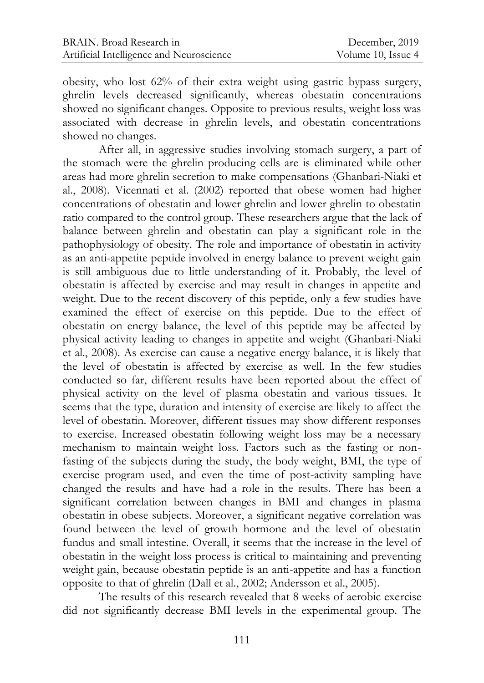obesity, who lost 62% of their extra weight using gastric bypass surgery, ghrelin levels decreased significantly, whereas obestatin concentrations showed no significant changes. Opposite to previous results, weight loss was associated with decrease in ghrelin levels, and obestatin concentrations showed no changes.

After all, in aggressive studies involving stomach surgery, a part of the stomach were the ghrelin producing cells are is eliminated while other areas had more ghrelin secretion to make compensations (Ghanbari-Niaki et al., 2008). Vicennati et al. (2002) reported that obese women had higher concentrations of obestatin and lower ghrelin and lower ghrelin to obestatin ratio compared to the control group. These researchers argue that the lack of balance between ghrelin and obestatin can play a significant role in the pathophysiology of obesity. The role and importance of obestatin in activity as an anti-appetite peptide involved in energy balance to prevent weight gain is still ambiguous due to little understanding of it. Probably, the level of obestatin is affected by exercise and may result in changes in appetite and weight. Due to the recent discovery of this peptide, only a few studies have examined the effect of exercise on this peptide. Due to the effect of obestatin on energy balance, the level of this peptide may be affected by physical activity leading to changes in appetite and weight (Ghanbari-Niaki et al., 2008). As exercise can cause a negative energy balance, it is likely that the level of obestatin is affected by exercise as well. In the few studies conducted so far, different results have been reported about the effect of physical activity on the level of plasma obestatin and various tissues. It seems that the type, duration and intensity of exercise are likely to affect the level of obestatin. Moreover, different tissues may show different responses to exercise. Increased obestatin following weight loss may be a necessary mechanism to maintain weight loss. Factors such as the fasting or nonfasting of the subjects during the study, the body weight, BMI, the type of exercise program used, and even the time of post-activity sampling have changed the results and have had a role in the results. There has been a significant correlation between changes in BMI and changes in plasma obestatin in obese subjects. Moreover, a significant negative correlation was found between the level of growth hormone and the level of obestatin fundus and small intestine. Overall, it seems that the increase in the level of obestatin in the weight loss process is critical to maintaining and preventing weight gain, because obestatin peptide is an anti-appetite and has a function opposite to that of ghrelin (Dall et al., 2002; Andersson et al., 2005).

The results of this research revealed that 8 weeks of aerobic exercise did not significantly decrease BMI levels in the experimental group. The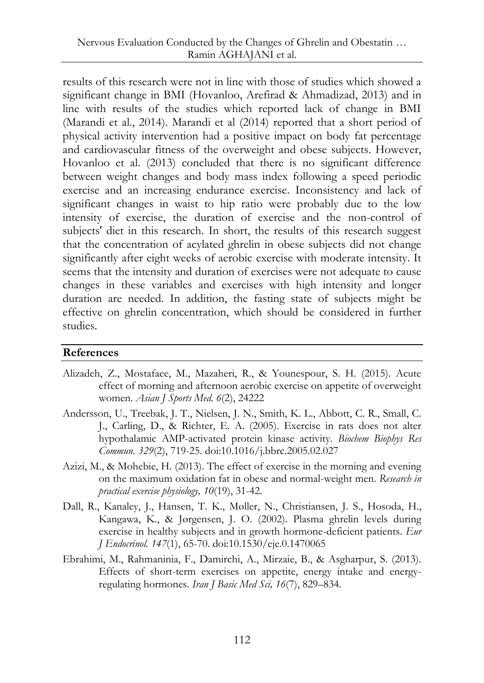results of this research were not in line with those of studies which showed a significant change in BMI [\(Hovanloo,](https://www.ncbi.nlm.nih.gov/pubmed/?term=Hovanloo%20F%5BAuthor%5D&cauthor=true&cauthor_uid=23725447) [Arefirad](https://www.ncbi.nlm.nih.gov/pubmed/?term=Arefirad%20T%5BAuthor%5D&cauthor=true&cauthor_uid=23725447) & [Ahmadizad,](https://www.ncbi.nlm.nih.gov/pubmed/?term=Ahmadizad%20S%5BAuthor%5D&cauthor=true&cauthor_uid=23725447) 2013) and in line with results of the studies which reported lack of change in BMI (Marandi et al., 2014). Marandi et al (2014) reported that a short period of physical activity intervention had a positive impact on body fat percentage and cardiovascular fitness of the overweight and obese subjects. However, Hovanloo et al. (2013) concluded that there is no significant difference between weight changes and body mass index following a speed periodic exercise and an increasing endurance exercise. Inconsistency and lack of significant changes in waist to hip ratio were probably due to the low intensity of exercise, the duration of exercise and the non-control of subjects' diet in this research. In short, the results of this research suggest that the concentration of acylated ghrelin in obese subjects did not change significantly after eight weeks of aerobic exercise with moderate intensity. It seems that the intensity and duration of exercises were not adequate to cause changes in these variables and exercises with high intensity and longer duration are needed. In addition, the fasting state of subjects might be effective on ghrelin concentration, which should be considered in further studies.

#### **References**

- Alizadeh, Z., Mostafaee, M., Mazaheri, R., & Younespour, S. H. (2015). Acute effect of morning and afternoon aerobic exercise on appetite of overweight women. *Asian J Sports Med. 6*(2), 24222
- [Andersson, U.](https://www.ncbi.nlm.nih.gov/pubmed/?term=Andersson%20U%5BAuthor%5D&cauthor=true&cauthor_uid=15737645), [Treebak, J. T.](https://www.ncbi.nlm.nih.gov/pubmed/?term=Treebak%20JT%5BAuthor%5D&cauthor=true&cauthor_uid=15737645), [Nielsen, J. N.,](https://www.ncbi.nlm.nih.gov/pubmed/?term=Nielsen%20JN%5BAuthor%5D&cauthor=true&cauthor_uid=15737645) [Smith, K. L.,](https://www.ncbi.nlm.nih.gov/pubmed/?term=Smith%20KL%5BAuthor%5D&cauthor=true&cauthor_uid=15737645) [Abbott, C. R.](https://www.ncbi.nlm.nih.gov/pubmed/?term=Abbott%20CR%5BAuthor%5D&cauthor=true&cauthor_uid=15737645), [Small, C.](https://www.ncbi.nlm.nih.gov/pubmed/?term=Small%20CJ%5BAuthor%5D&cauthor=true&cauthor_uid=15737645)  [J.](https://www.ncbi.nlm.nih.gov/pubmed/?term=Small%20CJ%5BAuthor%5D&cauthor=true&cauthor_uid=15737645), [Carling, D.](https://www.ncbi.nlm.nih.gov/pubmed/?term=Carling%20D%5BAuthor%5D&cauthor=true&cauthor_uid=15737645), & [Richter, E. A.](https://www.ncbi.nlm.nih.gov/pubmed/?term=Richter%20EA%5BAuthor%5D&cauthor=true&cauthor_uid=15737645) (2005). Exercise in rats does not alter hypothalamic AMP-activated protein kinase activity. *[Biochem Biophys Res](https://www.ncbi.nlm.nih.gov/pubmed/15737645)  [Commun.](https://www.ncbi.nlm.nih.gov/pubmed/15737645) 329*(2), 719-25. doi:10.1016/j.bbrc.2005.02.027
- Azizi, M., & Mohebie, H. (2013). The effect of exercise in the morning and evening on the maximum oxidation fat in obese and normal-weight men. *Research in practical exercise physiology, 10*(19), 31-42.
- [Dall, R.](https://www.ncbi.nlm.nih.gov/pubmed/?term=Dall%20R%5BAuthor%5D&cauthor=true&cauthor_uid=12088921), [Kanaley, J.,](https://www.ncbi.nlm.nih.gov/pubmed/?term=Kanaley%20J%5BAuthor%5D&cauthor=true&cauthor_uid=12088921) [Hansen, T. K.](https://www.ncbi.nlm.nih.gov/pubmed/?term=Hansen%20TK%5BAuthor%5D&cauthor=true&cauthor_uid=12088921), [Møller, N](https://www.ncbi.nlm.nih.gov/pubmed/?term=M%C3%B8ller%20N%5BAuthor%5D&cauthor=true&cauthor_uid=12088921)., [Christiansen, J.](https://www.ncbi.nlm.nih.gov/pubmed/?term=Christiansen%20JS%5BAuthor%5D&cauthor=true&cauthor_uid=12088921) S., [Hosoda, H.](https://www.ncbi.nlm.nih.gov/pubmed/?term=Hosoda%20H%5BAuthor%5D&cauthor=true&cauthor_uid=12088921), [Kangawa,](https://www.ncbi.nlm.nih.gov/pubmed/?term=Kangawa%20K%5BAuthor%5D&cauthor=true&cauthor_uid=12088921) K., & [Jørgensen, J. O](https://www.ncbi.nlm.nih.gov/pubmed/?term=J%C3%B8rgensen%20JO%5BAuthor%5D&cauthor=true&cauthor_uid=12088921). (2002). Plasma ghrelin levels during exercise in healthy subjects and in growth hormone-deficient patients. *[Eur](https://www.ncbi.nlm.nih.gov/pubmed/12088921)  [J Endocrinol.](https://www.ncbi.nlm.nih.gov/pubmed/12088921) 147*(1), 65-70. doi:10.1530/eje.0.1470065
- Ebrahimi, M., Rahmaninia, F., Damirchi, A., Mirzaie, B., & Asgharpur, S. (2013). Effects of short-term exercises on appetite, energy intake and energyregulating hormones. *[Iran J Basic Med Sci,](https://www.ncbi.nlm.nih.gov/pmc/articles/PMC3758053/) 16*(7), 829–834.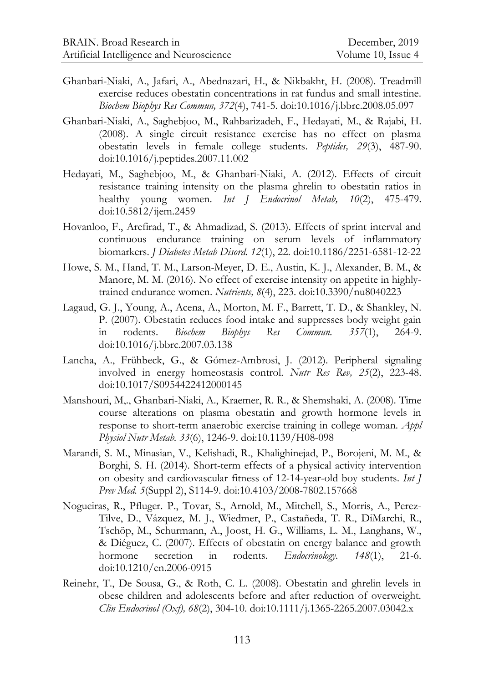- [Ghanbari-Niaki, A.,](https://www.ncbi.nlm.nih.gov/pubmed/?term=Ghanbari-Niaki%20A%5BAuthor%5D&cauthor=true&cauthor_uid=18514059) [Jafari, A.](https://www.ncbi.nlm.nih.gov/pubmed/?term=Jafari%20A%5BAuthor%5D&cauthor=true&cauthor_uid=18514059), [Abednazari, H.](https://www.ncbi.nlm.nih.gov/pubmed/?term=Abednazari%20H%5BAuthor%5D&cauthor=true&cauthor_uid=18514059), & [Nikbakht, H.](https://www.ncbi.nlm.nih.gov/pubmed/?term=Nikbakht%20H%5BAuthor%5D&cauthor=true&cauthor_uid=18514059) (2008). Treadmill exercise reduces obestatin concentrations in rat fundus and small intestine. *[Biochem Biophys Res Commun,](https://www.ncbi.nlm.nih.gov/pubmed/18514059) 372*(4), 741-5. doi:10.1016/j.bbrc.2008.05.097
- [Ghanbari-Niaki, A.,](https://www.ncbi.nlm.nih.gov/pubmed/?term=Ghanbari-Niaki%20A%5BAuthor%5D&cauthor=true&cauthor_uid=18308154) [Saghebjoo, M.,](https://www.ncbi.nlm.nih.gov/pubmed/?term=Saghebjoo%20M%5BAuthor%5D&cauthor=true&cauthor_uid=18308154) [Rahbarizadeh, F.](https://www.ncbi.nlm.nih.gov/pubmed/?term=Rahbarizadeh%20F%5BAuthor%5D&cauthor=true&cauthor_uid=18308154), [Hedayati, M.](https://www.ncbi.nlm.nih.gov/pubmed/?term=Hedayati%20M%5BAuthor%5D&cauthor=true&cauthor_uid=18308154), & [Rajabi, H.](https://www.ncbi.nlm.nih.gov/pubmed/?term=Rajabi%20H%5BAuthor%5D&cauthor=true&cauthor_uid=18308154) (2008). A single circuit resistance exercise has no effect on plasma obestatin levels in female college students. *[Peptides,](https://www.ncbi.nlm.nih.gov/pubmed/18308154) 29*(3), 487-90. doi:10.1016/j.peptides.2007.11.002
- Hedayati, M., Saghebjoo, M., & Ghanbari-Niaki, A. (2012). Effects of circuit resistance training intensity on the plasma ghrelin to obestatin ratios in healthy young women. *[Int J Endocrinol Metab,](https://www.ncbi.nlm.nih.gov/pmc/articles/PMC3693612/) 10*(2), 475-479. doi:10.5812/ijem.2459
- [Hovanloo, F.](https://www.ncbi.nlm.nih.gov/pubmed/?term=Hovanloo%20F%5BAuthor%5D&cauthor=true&cauthor_uid=23725447), [Arefirad, T.](https://www.ncbi.nlm.nih.gov/pubmed/?term=Arefirad%20T%5BAuthor%5D&cauthor=true&cauthor_uid=23725447), & [Ahmadizad, S.](https://www.ncbi.nlm.nih.gov/pubmed/?term=Ahmadizad%20S%5BAuthor%5D&cauthor=true&cauthor_uid=23725447) (2013). Effects of sprint interval and continuous endurance training on serum levels of inflammatory biomarkers. *[J Diabetes Metab Disord.](https://www.ncbi.nlm.nih.gov/pubmed/23725447) 12*(1), 22. doi:10.1186/2251-6581-12-22
- [Howe,](https://www.ncbi.nlm.nih.gov/pubmed/?term=Howe%20SM%5BAuthor%5D&cauthor=true&cauthor_uid=27096869) S. M., [Hand,](https://www.ncbi.nlm.nih.gov/pubmed/?term=Hand%20TM%5BAuthor%5D&cauthor=true&cauthor_uid=27096869) T. M., [Larson-Meyer,](https://www.ncbi.nlm.nih.gov/pubmed/?term=Larson-Meyer%20DE%5BAuthor%5D&cauthor=true&cauthor_uid=27096869) D. E., [Austin,](https://www.ncbi.nlm.nih.gov/pubmed/?term=Austin%20KJ%5BAuthor%5D&cauthor=true&cauthor_uid=27096869) K. J., [Alexander,](https://www.ncbi.nlm.nih.gov/pubmed/?term=Alexander%20BM%5BAuthor%5D&cauthor=true&cauthor_uid=27096869) B. M., [&](https://www.ncbi.nlm.nih.gov/pubmed/?term=Manore%20MM%5BAuthor%5D&cauthor=true&cauthor_uid=27096869) [Manore,](https://www.ncbi.nlm.nih.gov/pubmed/?term=Manore%20MM%5BAuthor%5D&cauthor=true&cauthor_uid=27096869) M. M. (2016). No effect of exercise intensity on appetite in highlytrained endurance women. *[Nutrients,](https://www.ncbi.nlm.nih.gov/pmc/articles/PMC4848691/) 8*(4), 223. doi:10.3390/nu8040223
- [Lagaud, G. J.](https://www.ncbi.nlm.nih.gov/pubmed/?term=Lagaud%20GJ%5BAuthor%5D&cauthor=true&cauthor_uid=17418097), [Young, A.](https://www.ncbi.nlm.nih.gov/pubmed/?term=Young%20A%5BAuthor%5D&cauthor=true&cauthor_uid=17418097), [Acena,](https://www.ncbi.nlm.nih.gov/pubmed/?term=Acena%20A%5BAuthor%5D&cauthor=true&cauthor_uid=17418097) A., [Morton, M. F.](https://www.ncbi.nlm.nih.gov/pubmed/?term=Morton%20MF%5BAuthor%5D&cauthor=true&cauthor_uid=17418097), [Barrett, T. D.](https://www.ncbi.nlm.nih.gov/pubmed/?term=Barrett%20TD%5BAuthor%5D&cauthor=true&cauthor_uid=17418097), & [Shankley, N.](https://www.ncbi.nlm.nih.gov/pubmed/?term=Shankley%20NP%5BAuthor%5D&cauthor=true&cauthor_uid=17418097)  [P.](https://www.ncbi.nlm.nih.gov/pubmed/?term=Shankley%20NP%5BAuthor%5D&cauthor=true&cauthor_uid=17418097) (2007). Obestatin reduces food intake and suppresses body weight gain in rodents. *[Biochem Biophys Res Commun.](https://www.ncbi.nlm.nih.gov/pubmed/17418097) 357*(1), 264-9. doi:10.1016/j.bbrc.2007.03.138
- [Lancha, A.,](https://www.ncbi.nlm.nih.gov/pubmed/?term=Lancha%20A%5BAuthor%5D&cauthor=true&cauthor_uid=23174510) [Frühbeck,](https://www.ncbi.nlm.nih.gov/pubmed/?term=Fr%C3%BChbeck%20G%5BAuthor%5D&cauthor=true&cauthor_uid=23174510) G., & Gómez[-Ambrosi, J.](https://www.ncbi.nlm.nih.gov/pubmed/?term=G%C3%B3mez-Ambrosi%20J%5BAuthor%5D&cauthor=true&cauthor_uid=23174510) (2012). Peripheral signaling involved in energy homeostasis control. *[Nutr Res Rev,](https://www.ncbi.nlm.nih.gov/pubmed/23174510) 25*(2), 223-48. doi:10.1017/S0954422412000145
- [Manshouri, M,](https://www.ncbi.nlm.nih.gov/pubmed/?term=Manshouri%20M%5BAuthor%5D&cauthor=true&cauthor_uid=19088784)., [Ghanbari-Niaki, A.](https://www.ncbi.nlm.nih.gov/pubmed/?term=Ghanbari-Niaki%20A%5BAuthor%5D&cauthor=true&cauthor_uid=19088784), [Kraemer, R. R.](https://www.ncbi.nlm.nih.gov/pubmed/?term=Kraemer%20RR%5BAuthor%5D&cauthor=true&cauthor_uid=19088784), & [Shemshaki, A.](https://www.ncbi.nlm.nih.gov/pubmed/?term=Shemshaki%20A%5BAuthor%5D&cauthor=true&cauthor_uid=19088784) (2008). Time course alterations on plasma obestatin and growth hormone levels in response to short-term anaerobic exercise training in college woman. *[Appl](https://www.ncbi.nlm.nih.gov/pubmed/19088784)  [Physiol Nutr Metab.](https://www.ncbi.nlm.nih.gov/pubmed/19088784) 33*(6), 1246-9. doi:10.1139/H08-098
- [Marandi, S. M.](http://www.ncbi.nlm.nih.gov/pubmed/?term=Marandi%20SM%5BAuthor%5D&cauthor=true&cauthor_uid=26157560), [Minasian, V.](http://www.ncbi.nlm.nih.gov/pubmed/?term=Minasian%20V%5BAuthor%5D&cauthor=true&cauthor_uid=26157560), [Kelishadi, R.](http://www.ncbi.nlm.nih.gov/pubmed/?term=Kelishadi%20R%5BAuthor%5D&cauthor=true&cauthor_uid=26157560), [Khalighinejad, P.](http://www.ncbi.nlm.nih.gov/pubmed/?term=Khalighinejad%20P%5BAuthor%5D&cauthor=true&cauthor_uid=26157560), [Borojeni, M. M.](http://www.ncbi.nlm.nih.gov/pubmed/?term=Borojeni%20MM%5BAuthor%5D&cauthor=true&cauthor_uid=26157560), & [Borghi, S. H.](http://www.ncbi.nlm.nih.gov/pubmed/?term=Borghi%20SH%5BAuthor%5D&cauthor=true&cauthor_uid=26157560) (2014). Short-term effects of a physical activity intervention on obesity and cardiovascular fitness of 12-14-year-old boy students. *[Int J](http://www.ncbi.nlm.nih.gov/pubmed/26157560)  [Prev Med.](http://www.ncbi.nlm.nih.gov/pubmed/26157560) 5*(Suppl 2), S114-9. doi:10.4103/2008-7802.157668
- [Nogueiras, R.](https://www.ncbi.nlm.nih.gov/pubmed/?term=Nogueiras%20R%5BAuthor%5D&cauthor=true&cauthor_uid=17008393), [Pfluger. P.](https://www.ncbi.nlm.nih.gov/pubmed/?term=Pfluger%20P%5BAuthor%5D&cauthor=true&cauthor_uid=17008393), [Tovar, S.](https://www.ncbi.nlm.nih.gov/pubmed/?term=Tovar%20S%5BAuthor%5D&cauthor=true&cauthor_uid=17008393), [Arnold, M.](https://www.ncbi.nlm.nih.gov/pubmed/?term=Arnold%20M%5BAuthor%5D&cauthor=true&cauthor_uid=17008393), [Mitchell, S.](https://www.ncbi.nlm.nih.gov/pubmed/?term=Mitchell%20S%5BAuthor%5D&cauthor=true&cauthor_uid=17008393), [Morris, A.](https://www.ncbi.nlm.nih.gov/pubmed/?term=Morris%20A%5BAuthor%5D&cauthor=true&cauthor_uid=17008393), [Perez-](https://www.ncbi.nlm.nih.gov/pubmed/?term=Perez-Tilve%20D%5BAuthor%5D&cauthor=true&cauthor_uid=17008393)[Tilve, D.,](https://www.ncbi.nlm.nih.gov/pubmed/?term=Perez-Tilve%20D%5BAuthor%5D&cauthor=true&cauthor_uid=17008393) [Vázquez, M. J](https://www.ncbi.nlm.nih.gov/pubmed/?term=V%C3%A1zquez%20MJ%5BAuthor%5D&cauthor=true&cauthor_uid=17008393)., [Wiedmer, P.](https://www.ncbi.nlm.nih.gov/pubmed/?term=Wiedmer%20P%5BAuthor%5D&cauthor=true&cauthor_uid=17008393), [Castañeda, T. R](https://www.ncbi.nlm.nih.gov/pubmed/?term=Casta%C3%B1eda%20TR%5BAuthor%5D&cauthor=true&cauthor_uid=17008393)., [DiMarchi, R.](https://www.ncbi.nlm.nih.gov/pubmed/?term=DiMarchi%20R%5BAuthor%5D&cauthor=true&cauthor_uid=17008393), [Tschöp, M](https://www.ncbi.nlm.nih.gov/pubmed/?term=Tsch%C3%B6p%20M%5BAuthor%5D&cauthor=true&cauthor_uid=17008393)., [Schurmann, A.](https://www.ncbi.nlm.nih.gov/pubmed/?term=Schurmann%20A%5BAuthor%5D&cauthor=true&cauthor_uid=17008393), [Joost, H. G.](https://www.ncbi.nlm.nih.gov/pubmed/?term=Joost%20HG%5BAuthor%5D&cauthor=true&cauthor_uid=17008393), [Williams, L. M.](https://www.ncbi.nlm.nih.gov/pubmed/?term=Williams%20LM%5BAuthor%5D&cauthor=true&cauthor_uid=17008393), [Langhans, W.](https://www.ncbi.nlm.nih.gov/pubmed/?term=Langhans%20W%5BAuthor%5D&cauthor=true&cauthor_uid=17008393), & [Diéguez, C](https://www.ncbi.nlm.nih.gov/pubmed/?term=Di%C3%A9guez%20C%5BAuthor%5D&cauthor=true&cauthor_uid=17008393). (2007). Effects of obestatin on energy balance and growth hormone secretion in rodents. *[Endocrinology.](https://www.ncbi.nlm.nih.gov/pubmed/17008393) 148*(1), 21-6. doi:10.1210/en.2006-0915
- Reinehr, T., De Sousa, G., & Roth, C. L. (2008). Obestatin and ghrelin levels in obese children and adolescents before and after reduction of overweight. *[Clin Endocrinol \(Oxf\),](https://www.ncbi.nlm.nih.gov/pubmed/17854392) 68*(2), 304-10. doi:10.1111/j.1365-2265.2007.03042.x